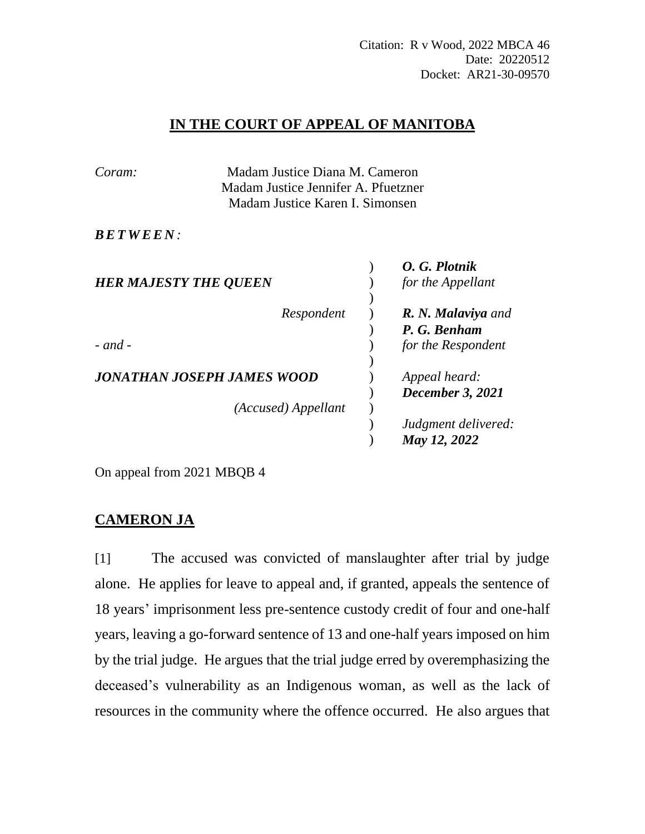# **IN THE COURT OF APPEAL OF MANITOBA**

| Coram:                       | Madam Justice Diana M. Cameron<br>Madam Justice Jennifer A. Pfuetzner |  |                     |
|------------------------------|-----------------------------------------------------------------------|--|---------------------|
|                              |                                                                       |  |                     |
|                              | Madam Justice Karen I. Simonsen                                       |  |                     |
| <i>BETWEEN:</i>              |                                                                       |  |                     |
|                              |                                                                       |  | O. G. Plotnik       |
| <b>HER MAJESTY THE QUEEN</b> |                                                                       |  | for the Appellant   |
|                              |                                                                       |  |                     |
|                              | Respondent                                                            |  | R. N. Malaviya and  |
|                              |                                                                       |  | P. G. Benham        |
| $-$ and $-$                  |                                                                       |  | for the Respondent  |
|                              |                                                                       |  |                     |
| JONATHAN JOSEPH JAMES WOOD   |                                                                       |  | Appeal heard:       |
|                              |                                                                       |  | December 3, 2021    |
|                              | (Accused) Appellant                                                   |  |                     |
|                              |                                                                       |  | Judgment delivered: |
|                              |                                                                       |  | May 12, 2022        |
|                              |                                                                       |  |                     |

On appeal from 2021 MBQB 4

# **CAMERON JA**

[1] The accused was convicted of manslaughter after trial by judge alone. He applies for leave to appeal and, if granted, appeals the sentence of 18 years' imprisonment less pre-sentence custody credit of four and one-half years, leaving a go-forward sentence of 13 and one-half years imposed on him by the trial judge. He argues that the trial judge erred by overemphasizing the deceased's vulnerability as an Indigenous woman, as well as the lack of resources in the community where the offence occurred. He also argues that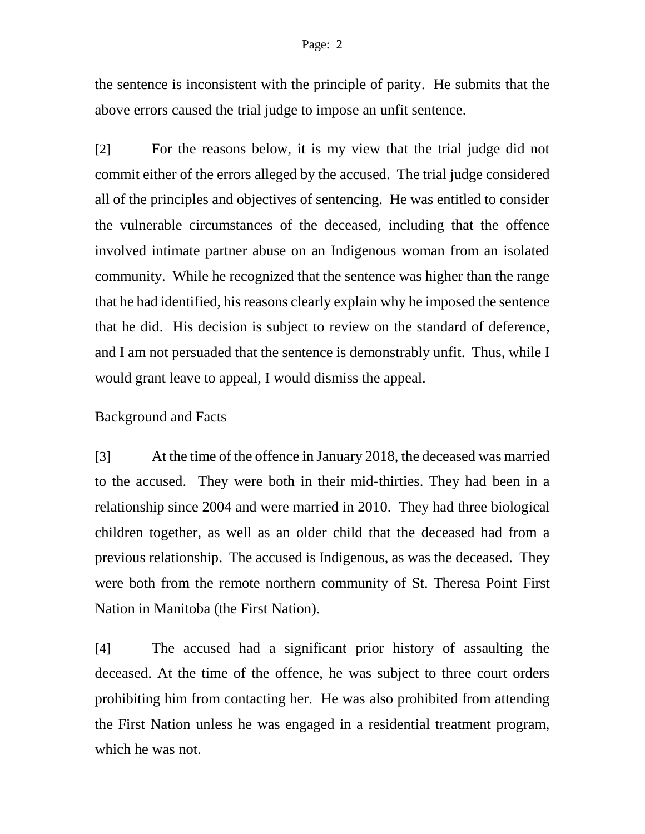the sentence is inconsistent with the principle of parity. He submits that the above errors caused the trial judge to impose an unfit sentence.

[2] For the reasons below, it is my view that the trial judge did not commit either of the errors alleged by the accused. The trial judge considered all of the principles and objectives of sentencing. He was entitled to consider the vulnerable circumstances of the deceased, including that the offence involved intimate partner abuse on an Indigenous woman from an isolated community. While he recognized that the sentence was higher than the range that he had identified, his reasons clearly explain why he imposed the sentence that he did. His decision is subject to review on the standard of deference, and I am not persuaded that the sentence is demonstrably unfit. Thus, while I would grant leave to appeal, I would dismiss the appeal.

#### Background and Facts

[3] At the time of the offence in January 2018, the deceased was married to the accused. They were both in their mid-thirties. They had been in a relationship since 2004 and were married in 2010. They had three biological children together, as well as an older child that the deceased had from a previous relationship. The accused is Indigenous, as was the deceased. They were both from the remote northern community of St. Theresa Point First Nation in Manitoba (the First Nation).

[4] The accused had a significant prior history of assaulting the deceased. At the time of the offence, he was subject to three court orders prohibiting him from contacting her. He was also prohibited from attending the First Nation unless he was engaged in a residential treatment program, which he was not.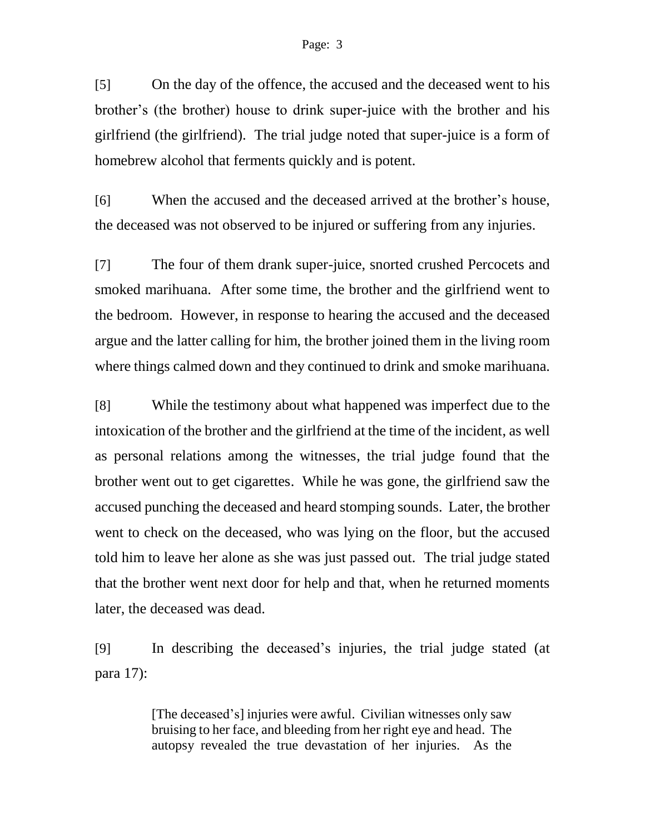[5] On the day of the offence, the accused and the deceased went to his brother's (the brother) house to drink super-juice with the brother and his girlfriend (the girlfriend). The trial judge noted that super-juice is a form of homebrew alcohol that ferments quickly and is potent.

[6] When the accused and the deceased arrived at the brother's house, the deceased was not observed to be injured or suffering from any injuries.

[7] The four of them drank super-juice, snorted crushed Percocets and smoked marihuana. After some time, the brother and the girlfriend went to the bedroom. However, in response to hearing the accused and the deceased argue and the latter calling for him, the brother joined them in the living room where things calmed down and they continued to drink and smoke marihuana.

[8] While the testimony about what happened was imperfect due to the intoxication of the brother and the girlfriend at the time of the incident, as well as personal relations among the witnesses, the trial judge found that the brother went out to get cigarettes. While he was gone, the girlfriend saw the accused punching the deceased and heard stomping sounds. Later, the brother went to check on the deceased, who was lying on the floor, but the accused told him to leave her alone as she was just passed out. The trial judge stated that the brother went next door for help and that, when he returned moments later, the deceased was dead.

[9] In describing the deceased's injuries, the trial judge stated (at para 17):

> [The deceased's] injuries were awful. Civilian witnesses only saw bruising to her face, and bleeding from her right eye and head. The autopsy revealed the true devastation of her injuries. As the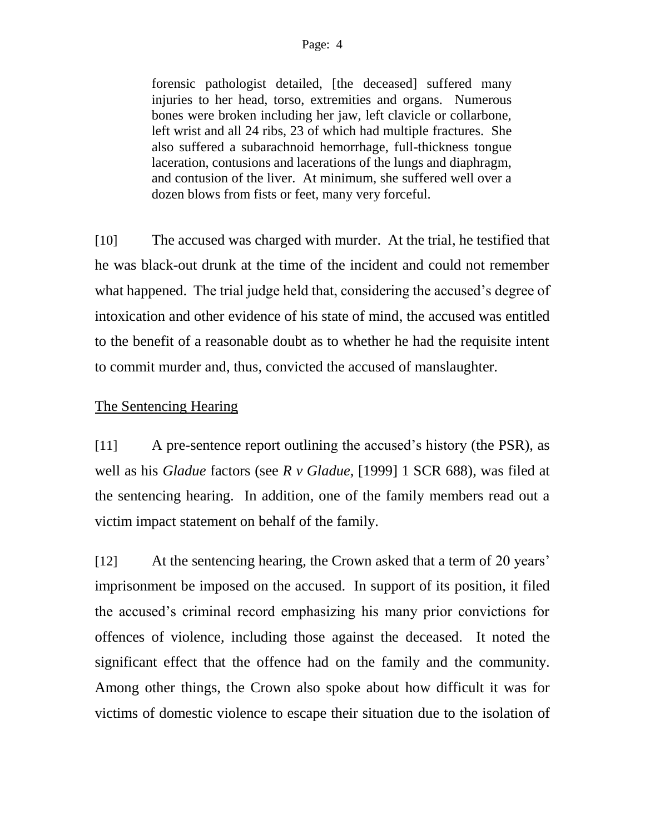forensic pathologist detailed, [the deceased] suffered many injuries to her head, torso, extremities and organs. Numerous bones were broken including her jaw, left clavicle or collarbone, left wrist and all 24 ribs, 23 of which had multiple fractures. She also suffered a subarachnoid hemorrhage, full-thickness tongue laceration, contusions and lacerations of the lungs and diaphragm, and contusion of the liver. At minimum, she suffered well over a dozen blows from fists or feet, many very forceful.

[10] The accused was charged with murder. At the trial, he testified that he was black-out drunk at the time of the incident and could not remember what happened. The trial judge held that, considering the accused's degree of intoxication and other evidence of his state of mind, the accused was entitled to the benefit of a reasonable doubt as to whether he had the requisite intent to commit murder and, thus, convicted the accused of manslaughter.

### The Sentencing Hearing

[11] A pre-sentence report outlining the accused's history (the PSR), as well as his *Gladue* factors (see *R v Gladue*, [1999] 1 SCR 688), was filed at the sentencing hearing. In addition, one of the family members read out a victim impact statement on behalf of the family.

[12] At the sentencing hearing, the Crown asked that a term of 20 years' imprisonment be imposed on the accused. In support of its position, it filed the accused's criminal record emphasizing his many prior convictions for offences of violence, including those against the deceased. It noted the significant effect that the offence had on the family and the community. Among other things, the Crown also spoke about how difficult it was for victims of domestic violence to escape their situation due to the isolation of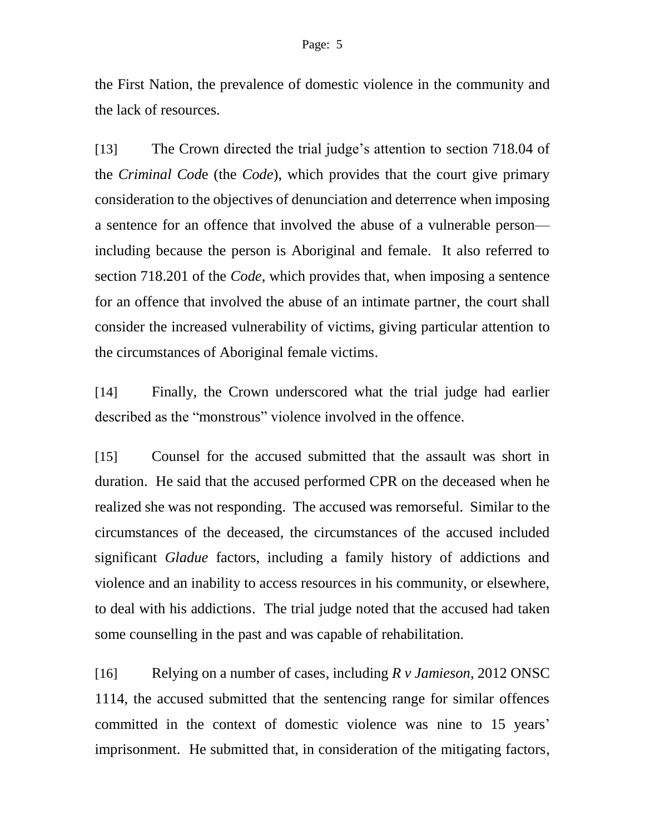the First Nation, the prevalence of domestic violence in the community and the lack of resources.

[13] The Crown directed the trial judge's attention to section 718.04 of the *Criminal Cod*e (the *Code*), which provides that the court give primary consideration to the objectives of denunciation and deterrence when imposing a sentence for an offence that involved the abuse of a vulnerable person including because the person is Aboriginal and female. It also referred to section 718.201 of the *Code*, which provides that, when imposing a sentence for an offence that involved the abuse of an intimate partner, the court shall consider the increased vulnerability of victims, giving particular attention to the circumstances of Aboriginal female victims.

[14] Finally, the Crown underscored what the trial judge had earlier described as the "monstrous" violence involved in the offence.

[15] Counsel for the accused submitted that the assault was short in duration. He said that the accused performed CPR on the deceased when he realized she was not responding. The accused was remorseful. Similar to the circumstances of the deceased, the circumstances of the accused included significant *Gladue* factors, including a family history of addictions and violence and an inability to access resources in his community, or elsewhere, to deal with his addictions. The trial judge noted that the accused had taken some counselling in the past and was capable of rehabilitation.

[16] Relying on a number of cases, including *R v Jamieson*, 2012 ONSC 1114, the accused submitted that the sentencing range for similar offences committed in the context of domestic violence was nine to 15 years' imprisonment. He submitted that, in consideration of the mitigating factors,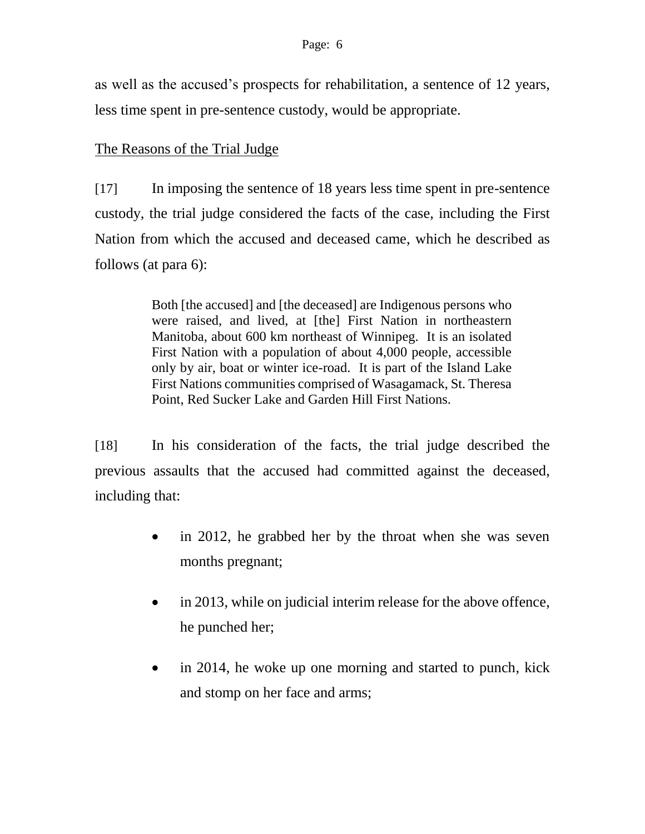as well as the accused's prospects for rehabilitation, a sentence of 12 years, less time spent in pre-sentence custody, would be appropriate.

## The Reasons of the Trial Judge

[17] In imposing the sentence of 18 years less time spent in pre-sentence custody, the trial judge considered the facts of the case, including the First Nation from which the accused and deceased came, which he described as follows (at para 6):

> Both [the accused] and [the deceased] are Indigenous persons who were raised, and lived, at [the] First Nation in northeastern Manitoba, about 600 km northeast of Winnipeg. It is an isolated First Nation with a population of about 4,000 people, accessible only by air, boat or winter ice-road. It is part of the Island Lake First Nations communities comprised of Wasagamack, St. Theresa Point, Red Sucker Lake and Garden Hill First Nations.

[18] In his consideration of the facts, the trial judge described the previous assaults that the accused had committed against the deceased, including that:

- in 2012, he grabbed her by the throat when she was seven months pregnant;
- in 2013, while on judicial interim release for the above offence, he punched her;
- in 2014, he woke up one morning and started to punch, kick and stomp on her face and arms;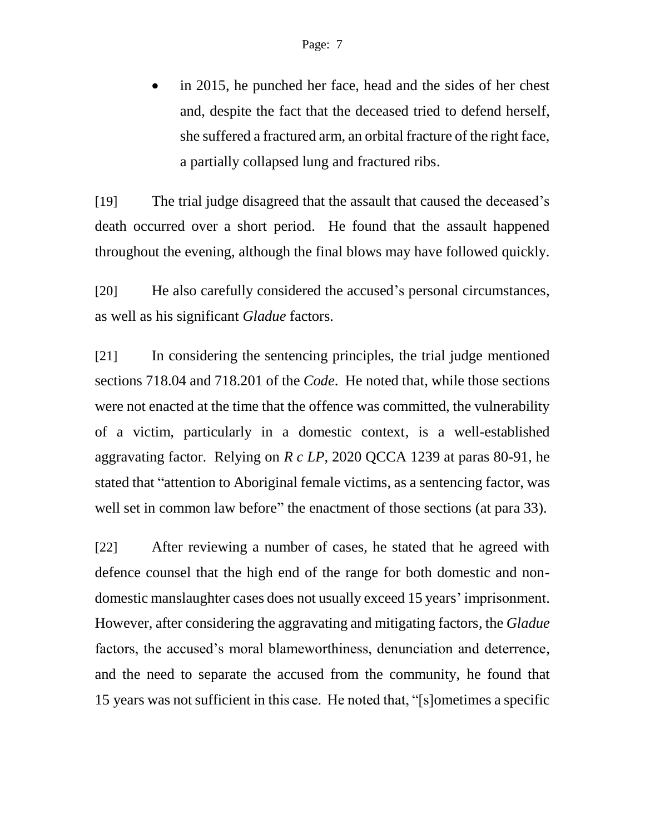in 2015, he punched her face, head and the sides of her chest and, despite the fact that the deceased tried to defend herself, she suffered a fractured arm, an orbital fracture of the right face, a partially collapsed lung and fractured ribs.

[19] The trial judge disagreed that the assault that caused the deceased's death occurred over a short period. He found that the assault happened throughout the evening, although the final blows may have followed quickly.

[20] He also carefully considered the accused's personal circumstances, as well as his significant *Gladue* factors.

[21] In considering the sentencing principles, the trial judge mentioned sections 718.04 and 718.201 of the *Code*. He noted that, while those sections were not enacted at the time that the offence was committed, the vulnerability of a victim, particularly in a domestic context, is a well-established aggravating factor. Relying on *R c LP*, 2020 QCCA 1239 at paras 80-91, he stated that "attention to Aboriginal female victims, as a sentencing factor, was well set in common law before" the enactment of those sections (at para 33).

[22] After reviewing a number of cases, he stated that he agreed with defence counsel that the high end of the range for both domestic and nondomestic manslaughter cases does not usually exceed 15 years' imprisonment. However, after considering the aggravating and mitigating factors, the *Gladue* factors, the accused's moral blameworthiness, denunciation and deterrence, and the need to separate the accused from the community, he found that 15 years was not sufficient in this case. He noted that, "[s]ometimes a specific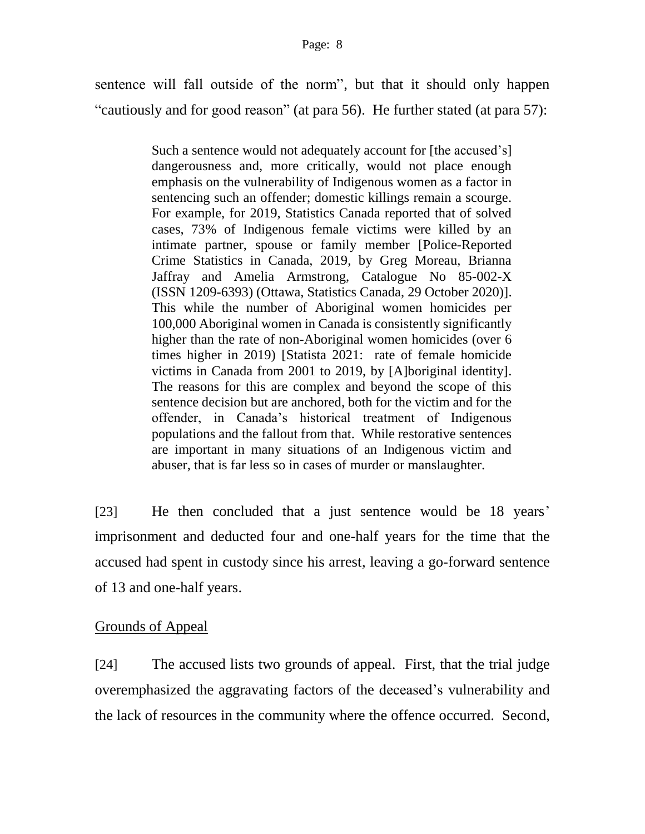sentence will fall outside of the norm", but that it should only happen "cautiously and for good reason" (at para 56). He further stated (at para 57):

> Such a sentence would not adequately account for [the accused's] dangerousness and, more critically, would not place enough emphasis on the vulnerability of Indigenous women as a factor in sentencing such an offender; domestic killings remain a scourge. For example, for 2019, Statistics Canada reported that of solved cases, 73% of Indigenous female victims were killed by an intimate partner, spouse or family member [Police-Reported Crime Statistics in Canada, 2019, by Greg Moreau, Brianna Jaffray and Amelia Armstrong, Catalogue No 85-002-X (ISSN 1209-6393) (Ottawa, Statistics Canada, 29 October 2020)]. This while the number of Aboriginal women homicides per 100,000 Aboriginal women in Canada is consistently significantly higher than the rate of non-Aboriginal women homicides (over 6) times higher in 2019) [Statista 2021: rate of female homicide victims in Canada from 2001 to 2019, by [A]boriginal identity]. The reasons for this are complex and beyond the scope of this sentence decision but are anchored, both for the victim and for the offender, in Canada's historical treatment of Indigenous populations and the fallout from that. While restorative sentences are important in many situations of an Indigenous victim and abuser, that is far less so in cases of murder or manslaughter.

[23] He then concluded that a just sentence would be 18 years' imprisonment and deducted four and one-half years for the time that the accused had spent in custody since his arrest, leaving a go-forward sentence of 13 and one-half years.

### Grounds of Appeal

[24] The accused lists two grounds of appeal. First, that the trial judge overemphasized the aggravating factors of the deceased's vulnerability and the lack of resources in the community where the offence occurred. Second,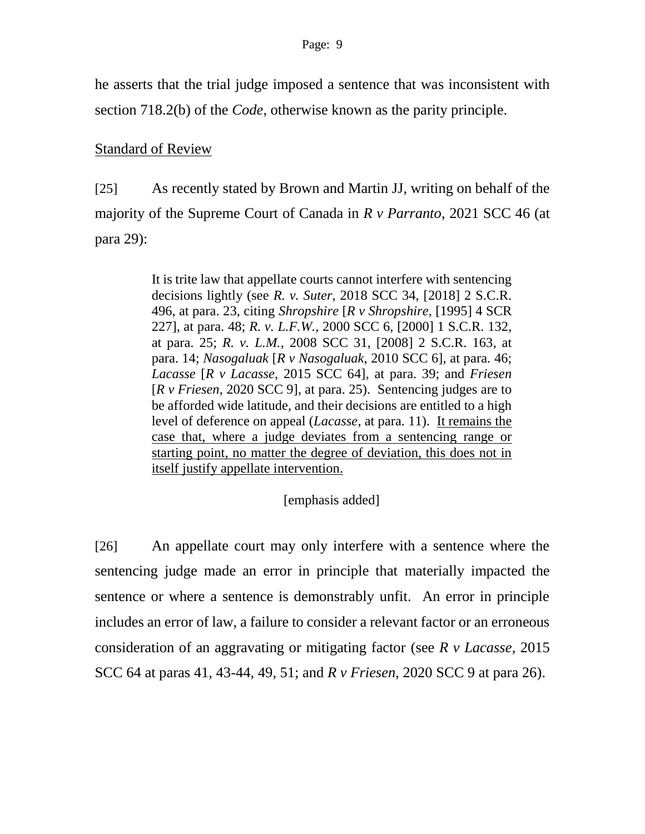he asserts that the trial judge imposed a sentence that was inconsistent with section 718.2(b) of the *Code*, otherwise known as the parity principle.

## Standard of Review

[25] As recently stated by Brown and Martin JJ, writing on behalf of the majority of the Supreme Court of Canada in *R v Parranto*, 2021 SCC 46 (at para 29):

> It is trite law that appellate courts cannot interfere with sentencing decisions lightly (see *R. v. Suter*, 2018 SCC 34, [2018] 2 S.C.R. 496, at para. 23, citing *Shropshire* [*R v Shropshire*, [1995] 4 SCR 227], at para. 48; *R. v. L.F.W.*, 2000 SCC 6, [2000] 1 S.C.R. 132, at para. 25; *R. v. L.M.*, 2008 SCC 31, [2008] 2 S.C.R. 163, at para. 14; *Nasogaluak* [*R v Nasogaluak*, 2010 SCC 6], at para. 46; *Lacasse* [*R v Lacasse*, 2015 SCC 64], at para. 39; and *Friesen* [*R v Friesen*, 2020 SCC 9], at para. 25). Sentencing judges are to be afforded wide latitude, and their decisions are entitled to a high level of deference on appeal (*Lacasse*, at para. 11). It remains the case that, where a judge deviates from a sentencing range or starting point, no matter the degree of deviation, this does not in itself justify appellate intervention.

## [emphasis added]

[26] An appellate court may only interfere with a sentence where the sentencing judge made an error in principle that materially impacted the sentence or where a sentence is demonstrably unfit. An error in principle includes an error of law, a failure to consider a relevant factor or an erroneous consideration of an aggravating or mitigating factor (see *R v Lacasse*, 2015 SCC 64 at paras 41, 43-44, 49, 51; and *R v Friesen*, 2020 SCC 9 at para 26).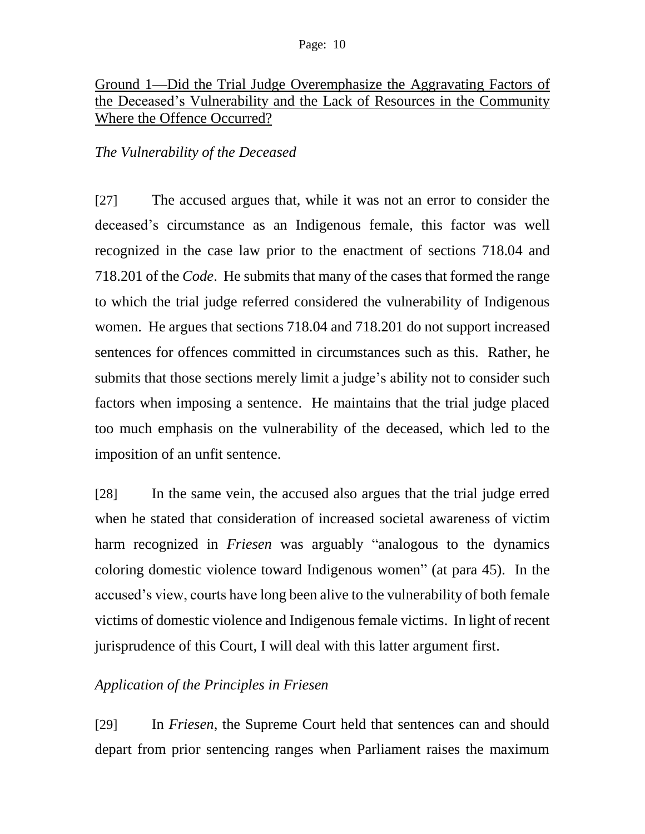# Ground 1—Did the Trial Judge Overemphasize the Aggravating Factors of the Deceased's Vulnerability and the Lack of Resources in the Community Where the Offence Occurred?

# *The Vulnerability of the Deceased*

[27] The accused argues that, while it was not an error to consider the deceased's circumstance as an Indigenous female, this factor was well recognized in the case law prior to the enactment of sections 718.04 and 718.201 of the *Code*. He submits that many of the cases that formed the range to which the trial judge referred considered the vulnerability of Indigenous women. He argues that sections 718.04 and 718.201 do not support increased sentences for offences committed in circumstances such as this. Rather, he submits that those sections merely limit a judge's ability not to consider such factors when imposing a sentence. He maintains that the trial judge placed too much emphasis on the vulnerability of the deceased, which led to the imposition of an unfit sentence.

[28] In the same vein, the accused also argues that the trial judge erred when he stated that consideration of increased societal awareness of victim harm recognized in *Friesen* was arguably "analogous to the dynamics coloring domestic violence toward Indigenous women" (at para 45). In the accused's view, courts have long been alive to the vulnerability of both female victims of domestic violence and Indigenous female victims. In light of recent jurisprudence of this Court, I will deal with this latter argument first.

## *Application of the Principles in Friesen*

[29] In *Friesen*, the Supreme Court held that sentences can and should depart from prior sentencing ranges when Parliament raises the maximum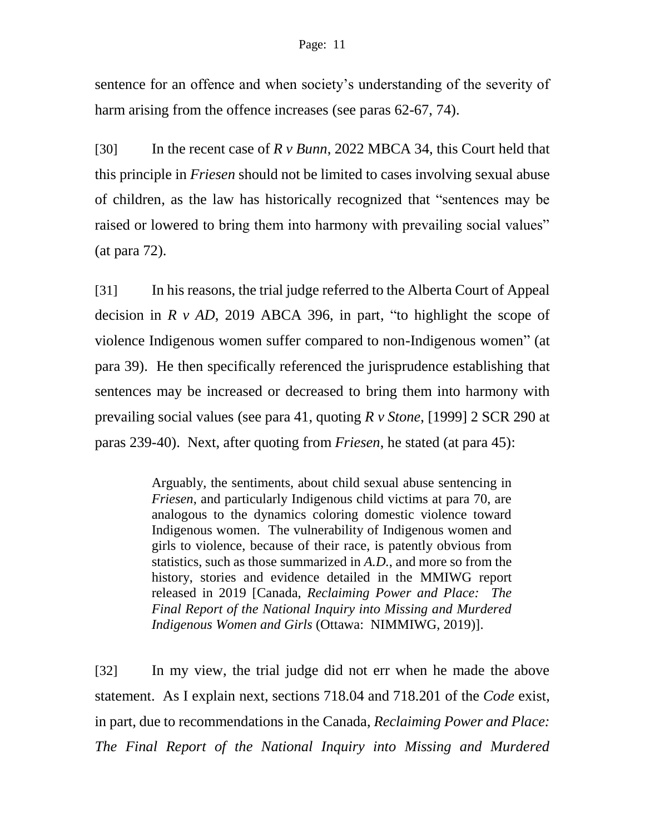sentence for an offence and when society's understanding of the severity of harm arising from the offence increases (see paras 62-67, 74).

[30] In the recent case of *R v Bunn*, 2022 MBCA 34, this Court held that this principle in *Friesen* should not be limited to cases involving sexual abuse of children, as the law has historically recognized that "sentences may be raised or lowered to bring them into harmony with prevailing social values" (at para 72).

[31] In his reasons, the trial judge referred to the Alberta Court of Appeal decision in *R v AD*, 2019 ABCA 396, in part, "to highlight the scope of violence Indigenous women suffer compared to non-Indigenous women" (at para 39). He then specifically referenced the jurisprudence establishing that sentences may be increased or decreased to bring them into harmony with prevailing social values (see para 41, quoting *R v Stone*, [1999] 2 SCR 290 at paras 239-40). Next, after quoting from *Friesen*, he stated (at para 45):

> Arguably, the sentiments, about child sexual abuse sentencing in *Friesen*, and particularly Indigenous child victims at para 70, are analogous to the dynamics coloring domestic violence toward Indigenous women. The vulnerability of Indigenous women and girls to violence, because of their race, is patently obvious from statistics, such as those summarized in *A.D.*, and more so from the history, stories and evidence detailed in the MMIWG report released in 2019 [Canada, *Reclaiming Power and Place: The Final Report of the National Inquiry into Missing and Murdered Indigenous Women and Girls* (Ottawa: NIMMIWG, 2019)].

[32] In my view, the trial judge did not err when he made the above statement. As I explain next, sections 718.04 and 718.201 of the *Code* exist, in part, due to recommendations in the Canada, *Reclaiming Power and Place: The Final Report of the National Inquiry into Missing and Murdered*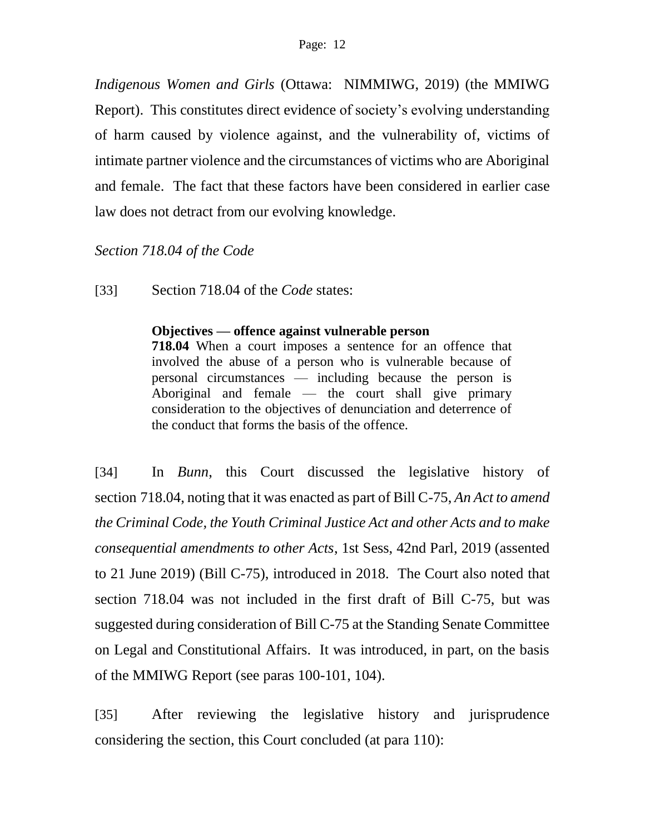*Indigenous Women and Girls* (Ottawa: NIMMIWG, 2019) (the MMIWG Report). This constitutes direct evidence of society's evolving understanding of harm caused by violence against, and the vulnerability of, victims of intimate partner violence and the circumstances of victims who are Aboriginal and female. The fact that these factors have been considered in earlier case law does not detract from our evolving knowledge.

## *Section 718.04 of the Code*

[33] Section 718.04 of the *Code* states:

### **Objectives — offence against vulnerable person**

**718.04** When a court imposes a sentence for an offence that involved the abuse of a person who is vulnerable because of personal circumstances — including because the person is Aboriginal and female — the court shall give primary consideration to the objectives of denunciation and deterrence of the conduct that forms the basis of the offence.

[34] In *Bunn*, this Court discussed the legislative history of section 718.04, noting that it was enacted as part of Bill C-75, *An Act to amend the Criminal Code, the Youth Criminal Justice Act and other Acts and to make consequential amendments to other Acts*, 1st Sess, 42nd Parl, 2019 (assented to 21 June 2019) (Bill C-75), introduced in 2018. The Court also noted that section 718.04 was not included in the first draft of Bill C-75, but was suggested during consideration of Bill C-75 at the Standing Senate Committee on Legal and Constitutional Affairs. It was introduced, in part, on the basis of the MMIWG Report (see paras 100-101, 104).

[35] After reviewing the legislative history and jurisprudence considering the section, this Court concluded (at para 110):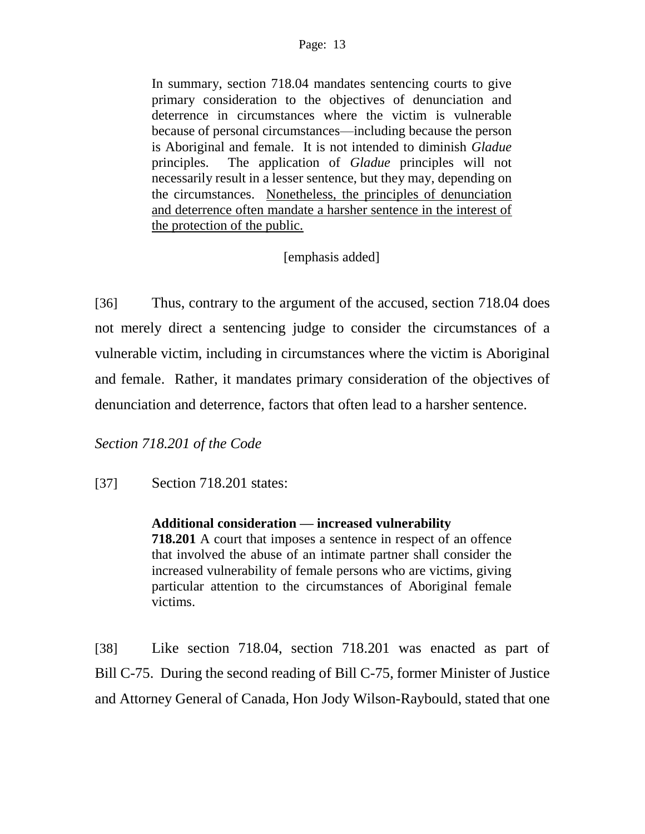In summary, section 718.04 mandates sentencing courts to give primary consideration to the objectives of denunciation and deterrence in circumstances where the victim is vulnerable because of personal circumstances—including because the person is Aboriginal and female. It is not intended to diminish *Gladue* principles. The application of *Gladue* principles will not necessarily result in a lesser sentence, but they may, depending on the circumstances. Nonetheless, the principles of denunciation and deterrence often mandate a harsher sentence in the interest of the protection of the public.

## [emphasis added]

[36] Thus, contrary to the argument of the accused, section 718.04 does not merely direct a sentencing judge to consider the circumstances of a vulnerable victim, including in circumstances where the victim is Aboriginal and female. Rather, it mandates primary consideration of the objectives of denunciation and deterrence, factors that often lead to a harsher sentence.

*Section 718.201 of the Code*

[37] Section 718.201 states:

### **Additional consideration — increased vulnerability**

**718.201** A court that imposes a sentence in respect of an offence that involved the abuse of an intimate partner shall consider the increased vulnerability of female persons who are victims, giving particular attention to the circumstances of Aboriginal female victims.

[38] Like section 718.04, section 718.201 was enacted as part of Bill C-75. During the second reading of Bill C-75, former Minister of Justice and Attorney General of Canada, Hon Jody Wilson-Raybould, stated that one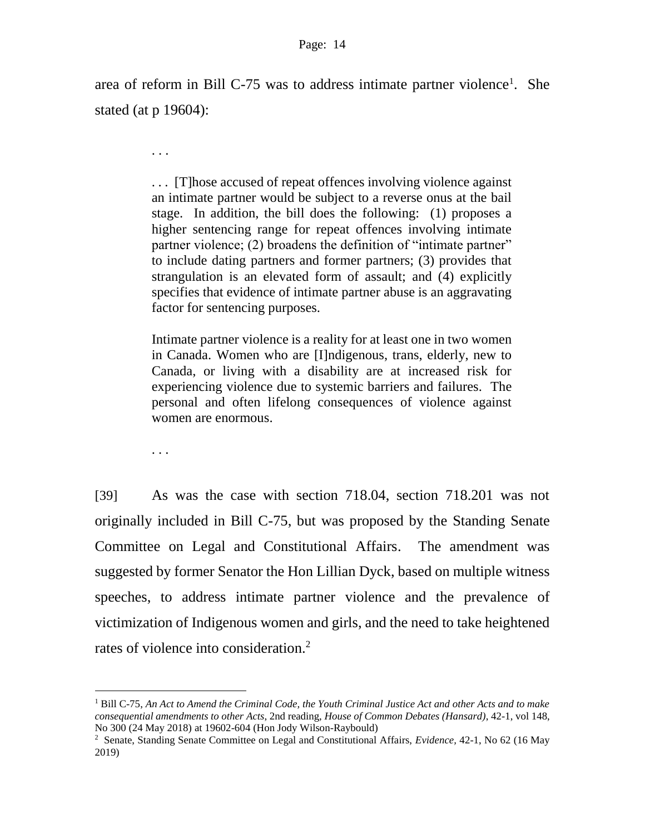area of reform in Bill C-75 was to address intimate partner violence<sup>1</sup>. She stated (at p 19604):

> . . . [T]hose accused of repeat offences involving violence against an intimate partner would be subject to a reverse onus at the bail stage. In addition, the bill does the following: (1) proposes a higher sentencing range for repeat offences involving intimate partner violence; (2) broadens the definition of "intimate partner" to include dating partners and former partners; (3) provides that strangulation is an elevated form of assault; and (4) explicitly specifies that evidence of intimate partner abuse is an aggravating factor for sentencing purposes.

> Intimate partner violence is a reality for at least one in two women in Canada. Women who are [I]ndigenous, trans, elderly, new to Canada, or living with a disability are at increased risk for experiencing violence due to systemic barriers and failures. The personal and often lifelong consequences of violence against women are enormous.

. . .

l

. . .

[39] As was the case with section 718.04, section 718.201 was not originally included in Bill C-75, but was proposed by the Standing Senate Committee on Legal and Constitutional Affairs. The amendment was suggested by former Senator the Hon Lillian Dyck, based on multiple witness speeches, to address intimate partner violence and the prevalence of victimization of Indigenous women and girls, and the need to take heightened rates of violence into consideration.<sup>2</sup>

<sup>1</sup> Bill C-75, *An Act to Amend the Criminal Code, the Youth Criminal Justice Act and other Acts and to make consequential amendments to other Acts*, 2nd reading, *House of Common Debates (Hansard)*, 42-1, vol 148, No 300 (24 May 2018) at 19602-604 (Hon Jody Wilson-Raybould)

<sup>2</sup> Senate, Standing Senate Committee on Legal and Constitutional Affairs, *Evidence,* 42-1, No 62 (16 May 2019)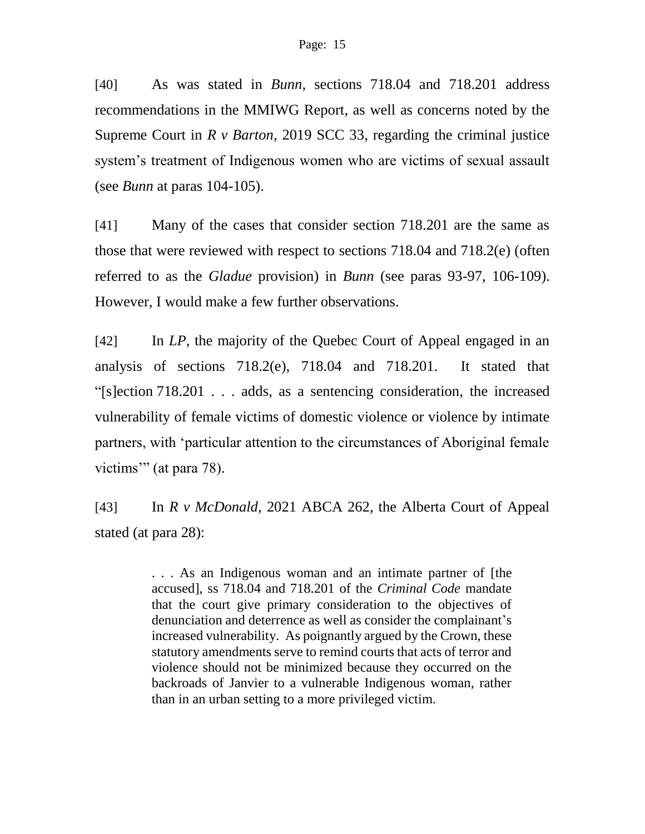[40] As was stated in *Bunn*, sections 718.04 and 718.201 address recommendations in the MMIWG Report, as well as concerns noted by the Supreme Court in *R v Barton*, 2019 SCC 33, regarding the criminal justice system's treatment of Indigenous women who are victims of sexual assault (see *Bunn* at paras 104-105).

[41] Many of the cases that consider section 718.201 are the same as those that were reviewed with respect to sections 718.04 and 718.2(e) (often referred to as the *Gladue* provision) in *Bunn* (see paras 93-97, 106-109). However, I would make a few further observations.

[42] In *LP*, the majority of the Quebec Court of Appeal engaged in an analysis of sections 718.2(e), 718.04 and 718.201. It stated that "[s]ection 718.201 . . . adds, as a sentencing consideration, the increased vulnerability of female victims of domestic violence or violence by intimate partners, with 'particular attention to the circumstances of Aboriginal female victims" (at para 78).

[43] In *R v McDonald*, 2021 ABCA 262, the Alberta Court of Appeal stated (at para 28):

> . . . As an Indigenous woman and an intimate partner of [the accused], ss 718.04 and 718.201 of the *Criminal Code* mandate that the court give primary consideration to the objectives of denunciation and deterrence as well as consider the complainant's increased vulnerability. As poignantly argued by the Crown, these statutory amendments serve to remind courts that acts of terror and violence should not be minimized because they occurred on the backroads of Janvier to a vulnerable Indigenous woman, rather than in an urban setting to a more privileged victim.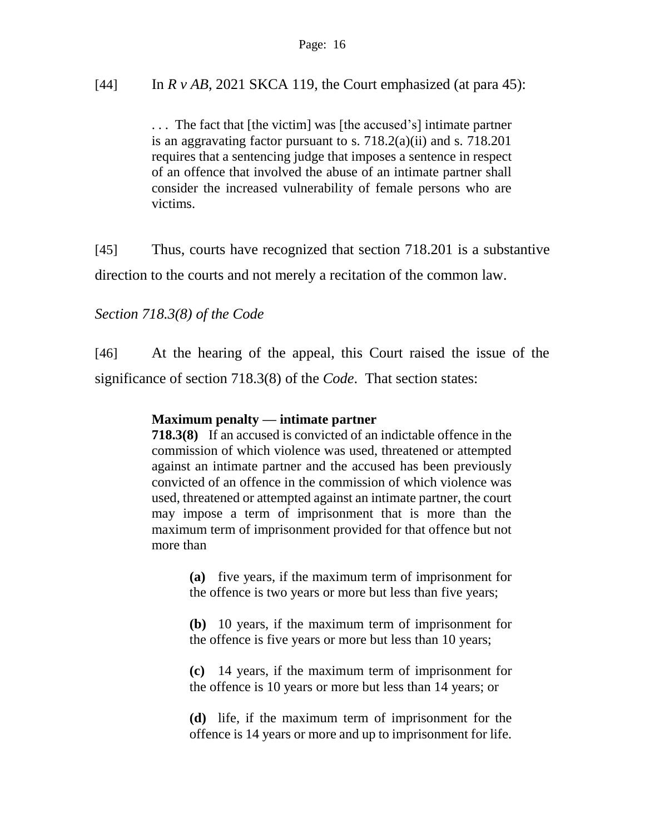[44] In  $R v AB$ , 2021 SKCA 119, the Court emphasized (at para 45):

. . . The fact that [the victim] was [the accused's] intimate partner is an aggravating factor pursuant to s. 718.2(a)(ii) and s. 718.201 requires that a sentencing judge that imposes a sentence in respect of an offence that involved the abuse of an intimate partner shall consider the increased vulnerability of female persons who are victims.

[45] Thus, courts have recognized that section 718.201 is a substantive direction to the courts and not merely a recitation of the common law.

## *Section 718.3(8) of the Code*

[46] At the hearing of the appeal, this Court raised the issue of the significance of section 718.3(8) of the *Code*. That section states:

### **Maximum penalty — intimate partner**

**718.3(8)** If an accused is convicted of an indictable offence in the commission of which violence was used, threatened or attempted against an intimate partner and the accused has been previously convicted of an offence in the commission of which violence was used, threatened or attempted against an intimate partner, the court may impose a term of imprisonment that is more than the maximum term of imprisonment provided for that offence but not more than

> **(a)** five years, if the maximum term of imprisonment for the offence is two years or more but less than five years;

> **(b)** 10 years, if the maximum term of imprisonment for the offence is five years or more but less than 10 years;

> **(c)** 14 years, if the maximum term of imprisonment for the offence is 10 years or more but less than 14 years; or

> **(d)** life, if the maximum term of imprisonment for the offence is 14 years or more and up to imprisonment for life.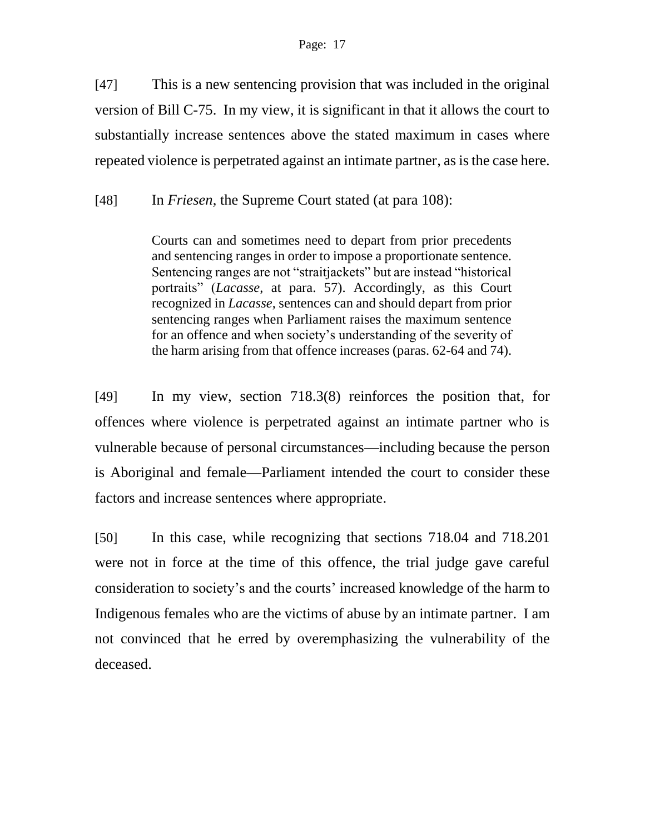[47] This is a new sentencing provision that was included in the original version of Bill C-75. In my view, it is significant in that it allows the court to substantially increase sentences above the stated maximum in cases where repeated violence is perpetrated against an intimate partner, as is the case here.

[48] In *Friesen*, the Supreme Court stated (at para 108):

Courts can and sometimes need to depart from prior precedents and sentencing ranges in order to impose a proportionate sentence. Sentencing ranges are not "straitjackets" but are instead "historical portraits" (*Lacasse*, at para. 57). Accordingly, as this Court recognized in *Lacasse*, sentences can and should depart from prior sentencing ranges when Parliament raises the maximum sentence for an offence and when society's understanding of the severity of the harm arising from that offence increases (paras. 62-64 and 74).

[49] In my view, section 718.3(8) reinforces the position that, for offences where violence is perpetrated against an intimate partner who is vulnerable because of personal circumstances—including because the person is Aboriginal and female—Parliament intended the court to consider these factors and increase sentences where appropriate.

[50] In this case, while recognizing that sections 718.04 and 718.201 were not in force at the time of this offence, the trial judge gave careful consideration to society's and the courts' increased knowledge of the harm to Indigenous females who are the victims of abuse by an intimate partner. I am not convinced that he erred by overemphasizing the vulnerability of the deceased.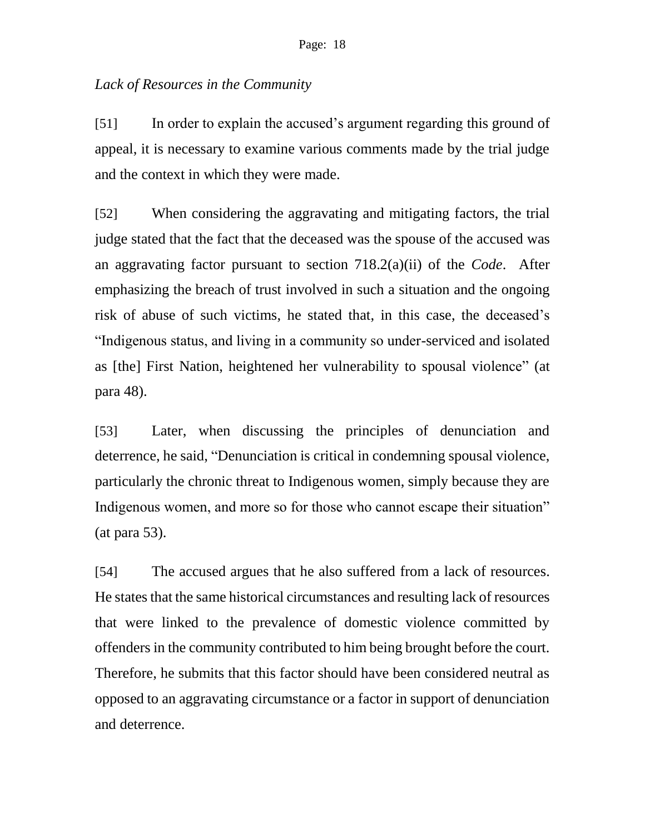## *Lack of Resources in the Community*

[51] In order to explain the accused's argument regarding this ground of appeal, it is necessary to examine various comments made by the trial judge and the context in which they were made.

[52] When considering the aggravating and mitigating factors, the trial judge stated that the fact that the deceased was the spouse of the accused was an aggravating factor pursuant to section 718.2(a)(ii) of the *Code*. After emphasizing the breach of trust involved in such a situation and the ongoing risk of abuse of such victims, he stated that, in this case, the deceased's "Indigenous status, and living in a community so under-serviced and isolated as [the] First Nation, heightened her vulnerability to spousal violence" (at para 48).

[53] Later, when discussing the principles of denunciation and deterrence, he said, "Denunciation is critical in condemning spousal violence, particularly the chronic threat to Indigenous women, simply because they are Indigenous women, and more so for those who cannot escape their situation" (at para 53).

[54] The accused argues that he also suffered from a lack of resources. He states that the same historical circumstances and resulting lack of resources that were linked to the prevalence of domestic violence committed by offenders in the community contributed to him being brought before the court. Therefore, he submits that this factor should have been considered neutral as opposed to an aggravating circumstance or a factor in support of denunciation and deterrence.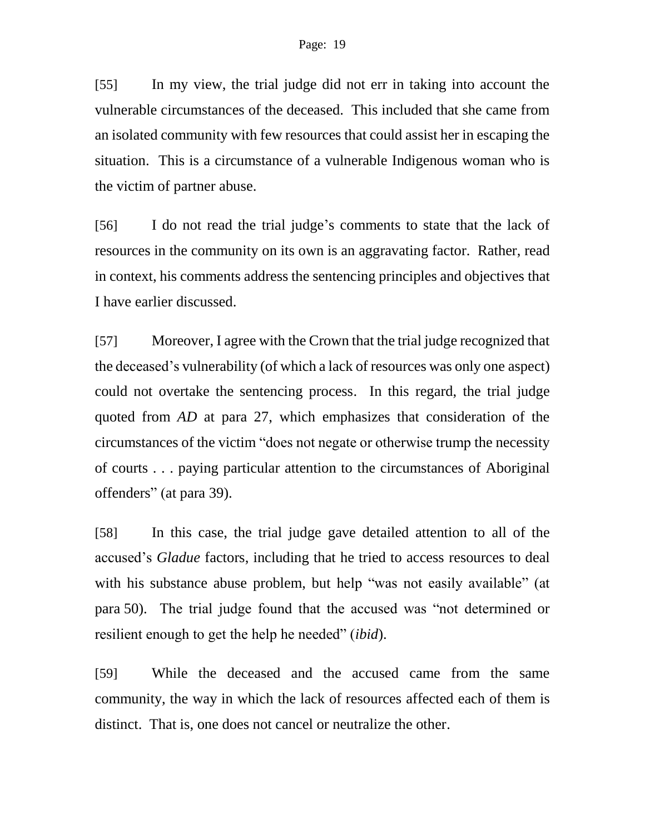[55] In my view, the trial judge did not err in taking into account the vulnerable circumstances of the deceased. This included that she came from an isolated community with few resources that could assist her in escaping the situation. This is a circumstance of a vulnerable Indigenous woman who is the victim of partner abuse.

[56] I do not read the trial judge's comments to state that the lack of resources in the community on its own is an aggravating factor. Rather, read in context, his comments address the sentencing principles and objectives that I have earlier discussed.

[57] Moreover, I agree with the Crown that the trial judge recognized that the deceased's vulnerability (of which a lack of resources was only one aspect) could not overtake the sentencing process. In this regard, the trial judge quoted from *AD* at para 27, which emphasizes that consideration of the circumstances of the victim "does not negate or otherwise trump the necessity of courts . . . paying particular attention to the circumstances of Aboriginal offenders" (at para 39).

[58] In this case, the trial judge gave detailed attention to all of the accused's *Gladue* factors, including that he tried to access resources to deal with his substance abuse problem, but help "was not easily available" (at para 50). The trial judge found that the accused was "not determined or resilient enough to get the help he needed" (*ibid*).

[59] While the deceased and the accused came from the same community, the way in which the lack of resources affected each of them is distinct. That is, one does not cancel or neutralize the other.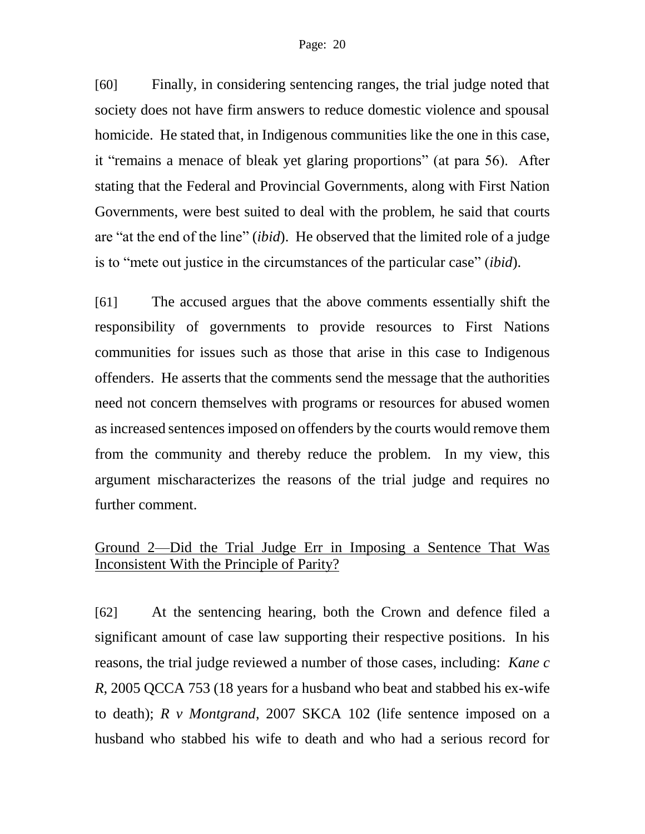[60] Finally, in considering sentencing ranges, the trial judge noted that society does not have firm answers to reduce domestic violence and spousal homicide. He stated that, in Indigenous communities like the one in this case, it "remains a menace of bleak yet glaring proportions" (at para 56). After stating that the Federal and Provincial Governments, along with First Nation Governments, were best suited to deal with the problem, he said that courts are "at the end of the line" (*ibid*). He observed that the limited role of a judge is to "mete out justice in the circumstances of the particular case" (*ibid*).

[61] The accused argues that the above comments essentially shift the responsibility of governments to provide resources to First Nations communities for issues such as those that arise in this case to Indigenous offenders. He asserts that the comments send the message that the authorities need not concern themselves with programs or resources for abused women as increased sentences imposed on offenders by the courts would remove them from the community and thereby reduce the problem. In my view, this argument mischaracterizes the reasons of the trial judge and requires no further comment.

# Ground 2—Did the Trial Judge Err in Imposing a Sentence That Was Inconsistent With the Principle of Parity?

[62] At the sentencing hearing, both the Crown and defence filed a significant amount of case law supporting their respective positions. In his reasons, the trial judge reviewed a number of those cases, including: *Kane c R*, 2005 QCCA 753 (18 years for a husband who beat and stabbed his ex-wife to death); *R v Montgrand*, 2007 SKCA 102 (life sentence imposed on a husband who stabbed his wife to death and who had a serious record for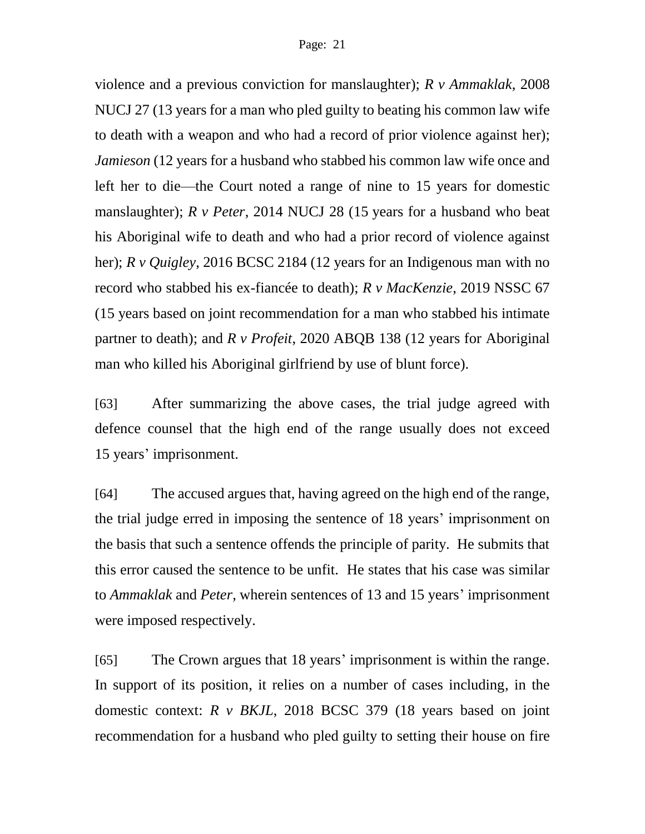violence and a previous conviction for manslaughter); *R v Ammaklak*, 2008 NUCJ 27 (13 years for a man who pled guilty to beating his common law wife to death with a weapon and who had a record of prior violence against her); *Jamieson* (12 years for a husband who stabbed his common law wife once and left her to die—the Court noted a range of nine to 15 years for domestic manslaughter); *R v Peter*, 2014 NUCJ 28 (15 years for a husband who beat his Aboriginal wife to death and who had a prior record of violence against her); *R v Quigley*, 2016 BCSC 2184 (12 years for an Indigenous man with no record who stabbed his ex-fiancée to death); *R v MacKenzie*, 2019 NSSC 67 (15 years based on joint recommendation for a man who stabbed his intimate partner to death); and *R v Profeit*, 2020 ABQB 138 (12 years for Aboriginal man who killed his Aboriginal girlfriend by use of blunt force).

[63] After summarizing the above cases, the trial judge agreed with defence counsel that the high end of the range usually does not exceed 15 years' imprisonment.

[64] The accused argues that, having agreed on the high end of the range, the trial judge erred in imposing the sentence of 18 years' imprisonment on the basis that such a sentence offends the principle of parity. He submits that this error caused the sentence to be unfit. He states that his case was similar to *Ammaklak* and *Peter*, wherein sentences of 13 and 15 years' imprisonment were imposed respectively.

[65] The Crown argues that 18 years' imprisonment is within the range. In support of its position, it relies on a number of cases including, in the domestic context: *R v BKJL*, 2018 BCSC 379 (18 years based on joint recommendation for a husband who pled guilty to setting their house on fire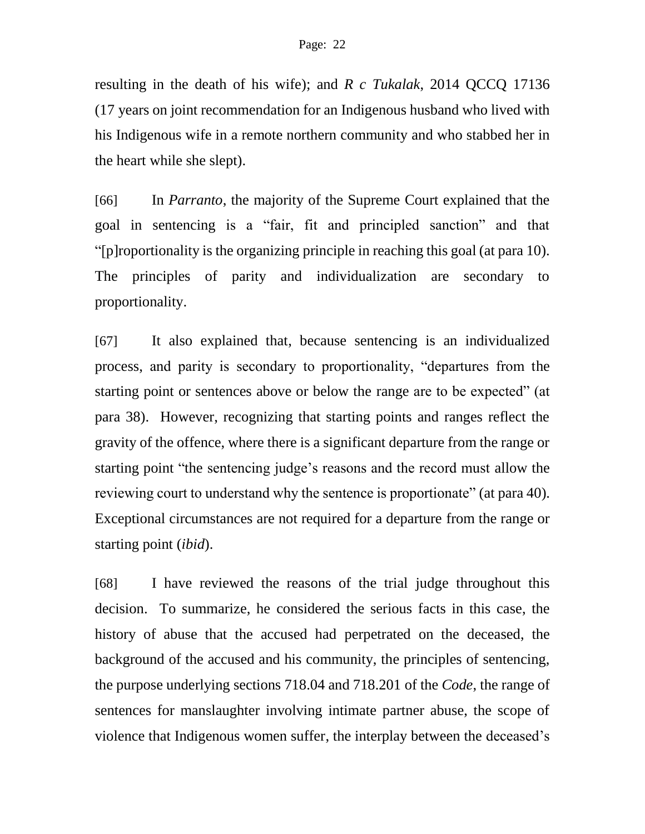resulting in the death of his wife); and *R c Tukalak*, 2014 QCCQ 17136 (17 years on joint recommendation for an Indigenous husband who lived with his Indigenous wife in a remote northern community and who stabbed her in the heart while she slept).

[66] In *Parranto*, the majority of the Supreme Court explained that the goal in sentencing is a "fair, fit and principled sanction" and that "[p]roportionality is the organizing principle in reaching this goal (at para 10). The principles of parity and individualization are secondary to proportionality.

[67] It also explained that, because sentencing is an individualized process, and parity is secondary to proportionality, "departures from the starting point or sentences above or below the range are to be expected" (at para 38). However, recognizing that starting points and ranges reflect the gravity of the offence, where there is a significant departure from the range or starting point "the sentencing judge's reasons and the record must allow the reviewing court to understand why the sentence is proportionate" (at para 40). Exceptional circumstances are not required for a departure from the range or starting point (*ibid*).

[68] I have reviewed the reasons of the trial judge throughout this decision. To summarize, he considered the serious facts in this case, the history of abuse that the accused had perpetrated on the deceased, the background of the accused and his community, the principles of sentencing, the purpose underlying sections 718.04 and 718.201 of the *Code*, the range of sentences for manslaughter involving intimate partner abuse, the scope of violence that Indigenous women suffer, the interplay between the deceased's